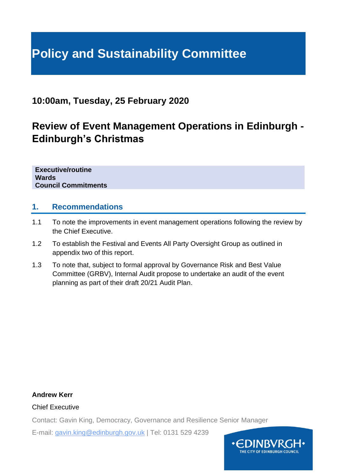# **Policy and Sustainability Committee**

## **10:00am, Tuesday, 25 February 2020**

## **Review of Event Management Operations in Edinburgh - Edinburgh's Christmas**

**Executive/routine Wards Council Commitments**

## **1. Recommendations**

- 1.1 To note the improvements in event management operations following the review by the Chief Executive.
- 1.2 To establish the Festival and Events All Party Oversight Group as outlined in appendix two of this report.
- 1.3 To note that, subject to formal approval by Governance Risk and Best Value Committee (GRBV), Internal Audit propose to undertake an audit of the event planning as part of their draft 20/21 Audit Plan.

**Andrew Kerr**

Chief Executive

Contact: Gavin King, Democracy, Governance and Resilience Senior Manager

E-mail: gavin.king@edinburgh.gov.uk | Tel: 0131 529 4239

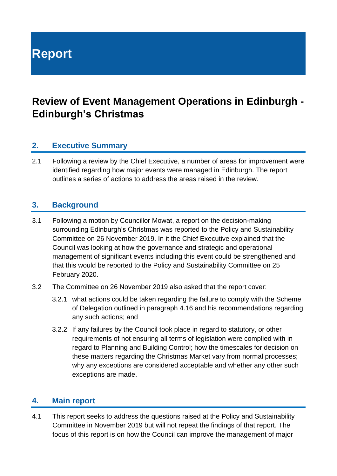# **Report**

## **Review of Event Management Operations in Edinburgh - Edinburgh's Christmas**

## **2. Executive Summary**

2.1 Following a review by the Chief Executive, a number of areas for improvement were identified regarding how major events were managed in Edinburgh. The report outlines a series of actions to address the areas raised in the review.

## **3. Background**

- 3.1 Following a motion by Councillor Mowat, a report on the decision-making surrounding Edinburgh's Christmas was reported to the Policy and Sustainability Committee on 26 November 2019. In it the Chief Executive explained that the Council was looking at how the governance and strategic and operational management of significant events including this event could be strengthened and that this would be reported to the Policy and Sustainability Committee on 25 February 2020.
- 3.2 The Committee on 26 November 2019 also asked that the report cover:
	- 3.2.1 what actions could be taken regarding the failure to comply with the Scheme of Delegation outlined in paragraph 4.16 and his recommendations regarding any such actions; and
	- 3.2.2 If any failures by the Council took place in regard to statutory, or other requirements of not ensuring all terms of legislation were complied with in regard to Planning and Building Control; how the timescales for decision on these matters regarding the Christmas Market vary from normal processes; why any exceptions are considered acceptable and whether any other such exceptions are made.

## **4. Main report**

4.1 This report seeks to address the questions raised at the Policy and Sustainability Committee in November 2019 but will not repeat the findings of that report. The focus of this report is on how the Council can improve the management of major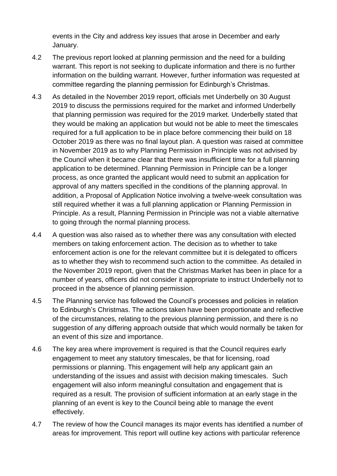events in the City and address key issues that arose in December and early January.

- 4.2 The previous report looked at planning permission and the need for a building warrant. This report is not seeking to duplicate information and there is no further information on the building warrant. However, further information was requested at committee regarding the planning permission for Edinburgh's Christmas.
- 4.3 As detailed in the November 2019 report, officials met Underbelly on 30 August 2019 to discuss the permissions required for the market and informed Underbelly that planning permission was required for the 2019 market. Underbelly stated that they would be making an application but would not be able to meet the timescales required for a full application to be in place before commencing their build on 18 October 2019 as there was no final layout plan. A question was raised at committee in November 2019 as to why Planning Permission in Principle was not advised by the Council when it became clear that there was insufficient time for a full planning application to be determined. Planning Permission in Principle can be a longer process, as once granted the applicant would need to submit an application for approval of any matters specified in the conditions of the planning approval. In addition, a Proposal of Application Notice involving a twelve-week consultation was still required whether it was a full planning application or Planning Permission in Principle. As a result, Planning Permission in Principle was not a viable alternative to going through the normal planning process.
- 4.4 A question was also raised as to whether there was any consultation with elected members on taking enforcement action. The decision as to whether to take enforcement action is one for the relevant committee but it is delegated to officers as to whether they wish to recommend such action to the committee. As detailed in the November 2019 report, given that the Christmas Market has been in place for a number of years, officers did not consider it appropriate to instruct Underbelly not to proceed in the absence of planning permission.
- 4.5 The Planning service has followed the Council's processes and policies in relation to Edinburgh's Christmas. The actions taken have been proportionate and reflective of the circumstances, relating to the previous planning permission, and there is no suggestion of any differing approach outside that which would normally be taken for an event of this size and importance.
- 4.6 The key area where improvement is required is that the Council requires early engagement to meet any statutory timescales, be that for licensing, road permissions or planning. This engagement will help any applicant gain an understanding of the issues and assist with decision making timescales. Such engagement will also inform meaningful consultation and engagement that is required as a result. The provision of sufficient information at an early stage in the planning of an event is key to the Council being able to manage the event effectively.
- 4.7 The review of how the Council manages its major events has identified a number of areas for improvement. This report will outline key actions with particular reference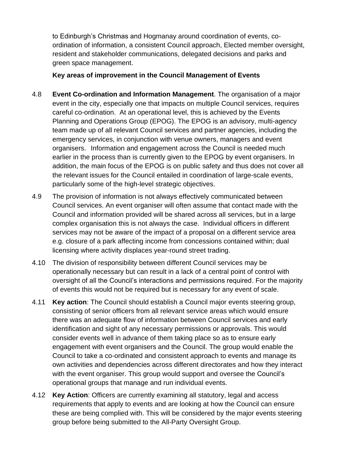to Edinburgh's Christmas and Hogmanay around coordination of events, coordination of information, a consistent Council approach, Elected member oversight, resident and stakeholder communications, delegated decisions and parks and green space management.

#### **Key areas of improvement in the Council Management of Events**

- 4.8 **Event Co-ordination and Information Management**. The organisation of a major event in the city, especially one that impacts on multiple Council services, requires careful co-ordination. At an operational level, this is achieved by the Events Planning and Operations Group (EPOG). The EPOG is an advisory, multi-agency team made up of all relevant Council services and partner agencies, including the emergency services, in conjunction with venue owners, managers and event organisers. Information and engagement across the Council is needed much earlier in the process than is currently given to the EPOG by event organisers. In addition, the main focus of the EPOG is on public safety and thus does not cover all the relevant issues for the Council entailed in coordination of large-scale events, particularly some of the high-level strategic objectives.
- 4.9 The provision of information is not always effectively communicated between Council services. An event organiser will often assume that contact made with the Council and information provided will be shared across all services, but in a large complex organisation this is not always the case. Individual officers in different services may not be aware of the impact of a proposal on a different service area e.g. closure of a park affecting income from concessions contained within; dual licensing where activity displaces year-round street trading.
- 4.10 The division of responsibility between different Council services may be operationally necessary but can result in a lack of a central point of control with oversight of all the Council's interactions and permissions required. For the majority of events this would not be required but is necessary for any event of scale.
- 4.11 **Key action**: The Council should establish a Council major events steering group, consisting of senior officers from all relevant service areas which would ensure there was an adequate flow of information between Council services and early identification and sight of any necessary permissions or approvals. This would consider events well in advance of them taking place so as to ensure early engagement with event organisers and the Council. The group would enable the Council to take a co-ordinated and consistent approach to events and manage its own activities and dependencies across different directorates and how they interact with the event organiser. This group would support and oversee the Council's operational groups that manage and run individual events.
- 4.12 **Key Action**: Officers are currently examining all statutory, legal and access requirements that apply to events and are looking at how the Council can ensure these are being complied with. This will be considered by the major events steering group before being submitted to the All-Party Oversight Group.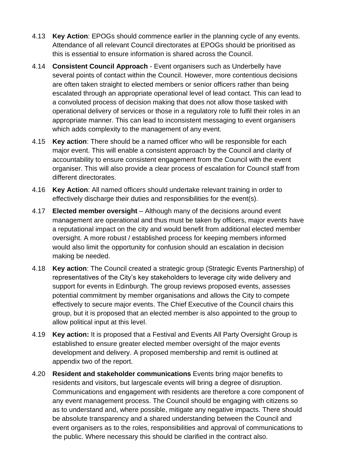- 4.13 **Key Action**: EPOGs should commence earlier in the planning cycle of any events. Attendance of all relevant Council directorates at EPOGs should be prioritised as this is essential to ensure information is shared across the Council.
- 4.14 **Consistent Council Approach** Event organisers such as Underbelly have several points of contact within the Council. However, more contentious decisions are often taken straight to elected members or senior officers rather than being escalated through an appropriate operational level of lead contact. This can lead to a convoluted process of decision making that does not allow those tasked with operational delivery of services or those in a regulatory role to fulfil their roles in an appropriate manner. This can lead to inconsistent messaging to event organisers which adds complexity to the management of any event.
- 4.15 **Key action**: There should be a named officer who will be responsible for each major event. This will enable a consistent approach by the Council and clarity of accountability to ensure consistent engagement from the Council with the event organiser. This will also provide a clear process of escalation for Council staff from different directorates.
- 4.16 **Key Action**: All named officers should undertake relevant training in order to effectively discharge their duties and responsibilities for the event(s).
- 4.17 **Elected member oversight**  Although many of the decisions around event management are operational and thus must be taken by officers, major events have a reputational impact on the city and would benefit from additional elected member oversight. A more robust / established process for keeping members informed would also limit the opportunity for confusion should an escalation in decision making be needed.
- 4.18 **Key action**: The Council created a strategic group (Strategic Events Partnership) of representatives of the City's key stakeholders to leverage city wide delivery and support for events in Edinburgh. The group reviews proposed events, assesses potential commitment by member organisations and allows the City to compete effectively to secure major events. The Chief Executive of the Council chairs this group, but it is proposed that an elected member is also appointed to the group to allow political input at this level.
- 4.19 **Key action:** It is proposed that a Festival and Events All Party Oversight Group is established to ensure greater elected member oversight of the major events development and delivery. A proposed membership and remit is outlined at appendix two of the report.
- 4.20 **Resident and stakeholder communications** Events bring major benefits to residents and visitors, but largescale events will bring a degree of disruption. Communications and engagement with residents are therefore a core component of any event management process. The Council should be engaging with citizens so as to understand and, where possible, mitigate any negative impacts. There should be absolute transparency and a shared understanding between the Council and event organisers as to the roles, responsibilities and approval of communications to the public. Where necessary this should be clarified in the contract also.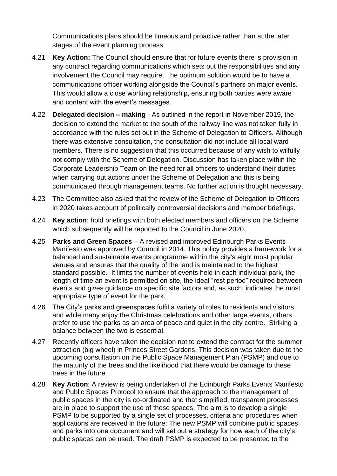Communications plans should be timeous and proactive rather than at the later stages of the event planning process.

- 4.21 **Key Action:** The Council should ensure that for future events there is provision in any contract regarding communications which sets out the responsibilities and any involvement the Council may require. The optimum solution would be to have a communications officer working alongside the Council's partners on major events. This would allow a close working relationship, ensuring both parties were aware and content with the event's messages.
- 4.22 **Delegated decision – making** As outlined in the report in November 2019, the decision to extend the market to the south of the railway line was not taken fully in accordance with the rules set out in the Scheme of Delegation to Officers. Although there was extensive consultation, the consultation did not include all local ward members. There is no suggestion that this occurred because of any wish to wilfully not comply with the Scheme of Delegation. Discussion has taken place within the Corporate Leadership Team on the need for all officers to understand their duties when carrying out actions under the Scheme of Delegation and this is being communicated through management teams. No further action is thought necessary.
- 4.23 The Committee also asked that the review of the Scheme of Delegation to Officers in 2020 takes account of politically controversial decisions and member briefings.
- 4.24 **Key action**: hold briefings with both elected members and officers on the Scheme which subsequently will be reported to the Council in June 2020.
- 4.25 **Parks and Green Spaces** A revised and improved Edinburgh Parks Events Manifesto was approved by Council in 2014. This policy provides a framework for a balanced and sustainable events programme within the city's eight most popular venues and ensures that the quality of the land is maintained to the highest standard possible. It limits the number of events held in each individual park, the length of time an event is permitted on site, the ideal "rest period" required between events and gives guidance on specific site factors and, as such, indicates the most appropriate type of event for the park.
- 4.26 The City's parks and greenspaces fulfil a variety of roles to residents and visitors and while many enjoy the Christmas celebrations and other large events, others prefer to use the parks as an area of peace and quiet in the city centre. Striking a balance between the two is essential.
- 4.27 Recently officers have taken the decision not to extend the contract for the summer attraction (big wheel) in Princes Street Gardens. This decision was taken due to the upcoming consultation on the Public Space Management Plan (PSMP) and due to the maturity of the trees and the likelihood that there would be damage to these trees in the future.
- 4.28 **Key Action**: A review is being undertaken of the Edinburgh Parks Events Manifesto and Public Spaces Protocol to ensure that the approach to the management of public spaces in the city is co-ordinated and that simplified, transparent processes are in place to support the use of these spaces. The aim is to develop a single PSMP to be supported by a single set of processes, criteria and procedures when applications are received in the future; The new PSMP will combine public spaces and parks into one document and will set out a strategy for how each of the city's public spaces can be used. The draft PSMP is expected to be presented to the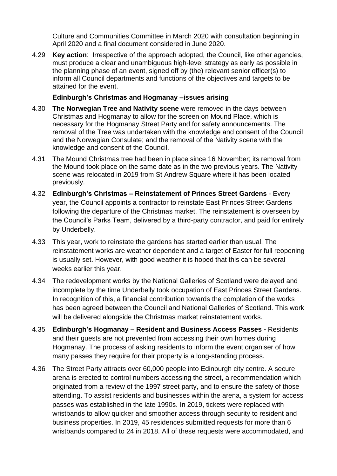Culture and Communities Committee in March 2020 with consultation beginning in April 2020 and a final document considered in June 2020.

4.29 **Key action**: Irrespective of the approach adopted, the Council, like other agencies, must produce a clear and unambiguous high-level strategy as early as possible in the planning phase of an event, signed off by (the) relevant senior officer(s) to inform all Council departments and functions of the objectives and targets to be attained for the event.

#### **Edinburgh's Christmas and Hogmanay –issues arising**

- 4.30 **The Norwegian Tree and Nativity scene** were removed in the days between Christmas and Hogmanay to allow for the screen on Mound Place, which is necessary for the Hogmanay Street Party and for safety announcements. The removal of the Tree was undertaken with the knowledge and consent of the Council and the Norwegian Consulate; and the removal of the Nativity scene with the knowledge and consent of the Council.
- 4.31 The Mound Christmas tree had been in place since 16 November; its removal from the Mound took place on the same date as in the two previous years. The Nativity scene was relocated in 2019 from St Andrew Square where it has been located previously.
- 4.32 **Edinburgh's Christmas – Reinstatement of Princes Street Gardens** Every year, the Council appoints a contractor to reinstate East Princes Street Gardens following the departure of the Christmas market. The reinstatement is overseen by the Council's Parks Team, delivered by a third-party contractor, and paid for entirely by Underbelly.
- 4.33 This year, work to reinstate the gardens has started earlier than usual. The reinstatement works are weather dependent and a target of Easter for full reopening is usually set. However, with good weather it is hoped that this can be several weeks earlier this year.
- 4.34 The redevelopment works by the National Galleries of Scotland were delayed and incomplete by the time Underbelly took occupation of East Princes Street Gardens. In recognition of this, a financial contribution towards the completion of the works has been agreed between the Council and National Galleries of Scotland. This work will be delivered alongside the Christmas market reinstatement works.
- 4.35 **Edinburgh's Hogmanay – Resident and Business Access Passes -** Residents and their guests are not prevented from accessing their own homes during Hogmanay. The process of asking residents to inform the event organiser of how many passes they require for their property is a long-standing process.
- 4.36 The Street Party attracts over 60,000 people into Edinburgh city centre. A secure arena is erected to control numbers accessing the street, a recommendation which originated from a review of the 1997 street party, and to ensure the safety of those attending. To assist residents and businesses within the arena, a system for access passes was established in the late 1990s. In 2019, tickets were replaced with wristbands to allow quicker and smoother access through security to resident and business properties. In 2019, 45 residences submitted requests for more than 6 wristbands compared to 24 in 2018. All of these requests were accommodated, and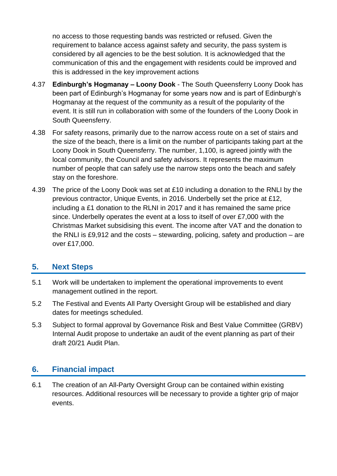no access to those requesting bands was restricted or refused. Given the requirement to balance access against safety and security, the pass system is considered by all agencies to be the best solution. It is acknowledged that the communication of this and the engagement with residents could be improved and this is addressed in the key improvement actions

- 4.37 **Edinburgh's Hogmanay – Loony Dook** The South Queensferry Loony Dook has been part of Edinburgh's Hogmanay for some years now and is part of Edinburgh's Hogmanay at the request of the community as a result of the popularity of the event. It is still run in collaboration with some of the founders of the Loony Dook in South Queensferry.
- 4.38 For safety reasons, primarily due to the narrow access route on a set of stairs and the size of the beach, there is a limit on the number of participants taking part at the Loony Dook in South Queensferry. The number, 1,100, is agreed jointly with the local community, the Council and safety advisors. It represents the maximum number of people that can safely use the narrow steps onto the beach and safely stay on the foreshore.
- 4.39 The price of the Loony Dook was set at £10 including a donation to the RNLI by the previous contractor, Unique Events, in 2016. Underbelly set the price at £12, including a £1 donation to the RLNI in 2017 and it has remained the same price since. Underbelly operates the event at a loss to itself of over £7,000 with the Christmas Market subsidising this event. The income after VAT and the donation to the RNLI is £9,912 and the costs – stewarding, policing, safety and production – are over £17,000.

## **5. Next Steps**

- 5.1 Work will be undertaken to implement the operational improvements to event management outlined in the report.
- 5.2 The Festival and Events All Party Oversight Group will be established and diary dates for meetings scheduled.
- 5.3 Subject to formal approval by Governance Risk and Best Value Committee (GRBV) Internal Audit propose to undertake an audit of the event planning as part of their draft 20/21 Audit Plan.

## **6. Financial impact**

6.1 The creation of an All-Party Oversight Group can be contained within existing resources. Additional resources will be necessary to provide a tighter grip of major events.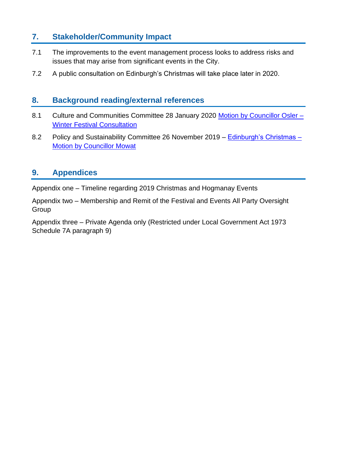## **7. Stakeholder/Community Impact**

- 7.1 The improvements to the event management process looks to address risks and issues that may arise from significant events in the City.
- 7.2 A public consultation on Edinburgh's Christmas will take place later in 2020.

## **8. Background reading/external references**

- 8.1 Culture and Communities Committee 28 January 2020 [Motion by Councillor Osler –](https://democracy.edinburgh.gov.uk/ieListDocuments.aspx?CId=139&MId=454&Ver=4) **[Winter Festival Consultation](https://democracy.edinburgh.gov.uk/ieListDocuments.aspx?CId=139&MId=454&Ver=4)**
- 8.2 Policy and Sustainability Committee 26 November 2019 [Edinburgh's Christmas –](https://democracy.edinburgh.gov.uk/documents/s11232/Item%207.12%20-%20Edinburghs%20Christmas%20Nov%2019%20v4.pdf) [Motion by Councillor Mowat](https://democracy.edinburgh.gov.uk/documents/s11232/Item%207.12%20-%20Edinburghs%20Christmas%20Nov%2019%20v4.pdf)

## **9. Appendices**

Appendix one – Timeline regarding 2019 Christmas and Hogmanay Events

Appendix two – Membership and Remit of the Festival and Events All Party Oversight **Group** 

Appendix three – Private Agenda only (Restricted under Local Government Act 1973 Schedule 7A paragraph 9)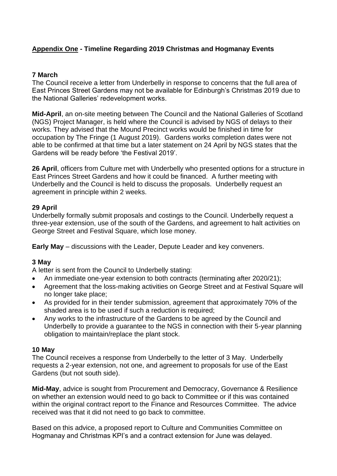## **Appendix One - Timeline Regarding 2019 Christmas and Hogmanay Events**

#### **7 March**

The Council receive a letter from Underbelly in response to concerns that the full area of East Princes Street Gardens may not be available for Edinburgh's Christmas 2019 due to the National Galleries' redevelopment works.

**Mid-April**, an on-site meeting between The Council and the National Galleries of Scotland (NGS) Project Manager, is held where the Council is advised by NGS of delays to their works. They advised that the Mound Precinct works would be finished in time for occupation by The Fringe (1 August 2019). Gardens works completion dates were not able to be confirmed at that time but a later statement on 24 April by NGS states that the Gardens will be ready before 'the Festival 2019'.

**26 April**, officers from Culture met with Underbelly who presented options for a structure in East Princes Street Gardens and how it could be financed. A further meeting with Underbelly and the Council is held to discuss the proposals. Underbelly request an agreement in principle within 2 weeks.

#### **29 April**

Underbelly formally submit proposals and costings to the Council. Underbelly request a three-year extension, use of the south of the Gardens, and agreement to halt activities on George Street and Festival Square, which lose money.

**Early May** – discussions with the Leader, Depute Leader and key conveners.

#### **3 May**

A letter is sent from the Council to Underbelly stating:

- An immediate one-year extension to both contracts (terminating after 2020/21);
- Agreement that the loss-making activities on George Street and at Festival Square will no longer take place;
- As provided for in their tender submission, agreement that approximately 70% of the shaded area is to be used if such a reduction is required;
- Any works to the infrastructure of the Gardens to be agreed by the Council and Underbelly to provide a guarantee to the NGS in connection with their 5-year planning obligation to maintain/replace the plant stock.

#### **10 May**

The Council receives a response from Underbelly to the letter of 3 May. Underbelly requests a 2-year extension, not one, and agreement to proposals for use of the East Gardens (but not south side).

**Mid-May**, advice is sought from Procurement and Democracy, Governance & Resilience on whether an extension would need to go back to Committee or if this was contained within the original contract report to the Finance and Resources Committee. The advice received was that it did not need to go back to committee.

Based on this advice, a proposed report to Culture and Communities Committee on Hogmanay and Christmas KPI's and a contract extension for June was delayed.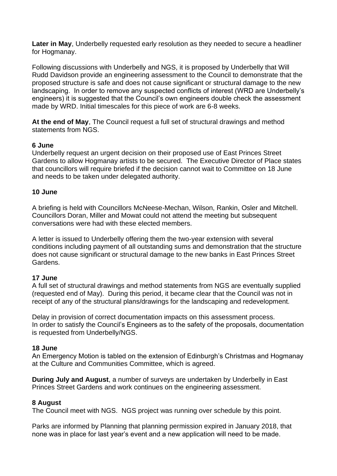**Later in May**, Underbelly requested early resolution as they needed to secure a headliner for Hogmanay.

Following discussions with Underbelly and NGS, it is proposed by Underbelly that Will Rudd Davidson provide an engineering assessment to the Council to demonstrate that the proposed structure is safe and does not cause significant or structural damage to the new landscaping. In order to remove any suspected conflicts of interest (WRD are Underbelly's engineers) it is suggested that the Council's own engineers double check the assessment made by WRD. Initial timescales for this piece of work are 6-8 weeks.

**At the end of May**, The Council request a full set of structural drawings and method statements from NGS.

#### **6 June**

Underbelly request an urgent decision on their proposed use of East Princes Street Gardens to allow Hogmanay artists to be secured. The Executive Director of Place states that councillors will require briefed if the decision cannot wait to Committee on 18 June and needs to be taken under delegated authority.

#### **10 June**

A briefing is held with Councillors McNeese-Mechan, Wilson, Rankin, Osler and Mitchell. Councillors Doran, Miller and Mowat could not attend the meeting but subsequent conversations were had with these elected members.

A letter is issued to Underbelly offering them the two-year extension with several conditions including payment of all outstanding sums and demonstration that the structure does not cause significant or structural damage to the new banks in East Princes Street Gardens.

#### **17 June**

A full set of structural drawings and method statements from NGS are eventually supplied (requested end of May). During this period, it became clear that the Council was not in receipt of any of the structural plans/drawings for the landscaping and redevelopment.

Delay in provision of correct documentation impacts on this assessment process. In order to satisfy the Council's Engineers as to the safety of the proposals, documentation is requested from Underbelly/NGS.

#### **18 June**

An Emergency Motion is tabled on the extension of Edinburgh's Christmas and Hogmanay at the Culture and Communities Committee, which is agreed.

**During July and August**, a number of surveys are undertaken by Underbelly in East Princes Street Gardens and work continues on the engineering assessment.

#### **8 August**

The Council meet with NGS. NGS project was running over schedule by this point.

Parks are informed by Planning that planning permission expired in January 2018, that none was in place for last year's event and a new application will need to be made.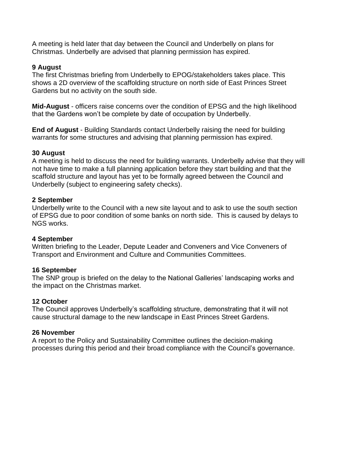A meeting is held later that day between the Council and Underbelly on plans for Christmas. Underbelly are advised that planning permission has expired.

#### **9 August**

The first Christmas briefing from Underbelly to EPOG/stakeholders takes place. This shows a 2D overview of the scaffolding structure on north side of East Princes Street Gardens but no activity on the south side.

**Mid-August** - officers raise concerns over the condition of EPSG and the high likelihood that the Gardens won't be complete by date of occupation by Underbelly.

**End of August** - Building Standards contact Underbelly raising the need for building warrants for some structures and advising that planning permission has expired.

#### **30 August**

A meeting is held to discuss the need for building warrants. Underbelly advise that they will not have time to make a full planning application before they start building and that the scaffold structure and layout has yet to be formally agreed between the Council and Underbelly (subject to engineering safety checks).

#### **2 September**

Underbelly write to the Council with a new site layout and to ask to use the south section of EPSG due to poor condition of some banks on north side. This is caused by delays to NGS works.

#### **4 September**

Written briefing to the Leader, Depute Leader and Conveners and Vice Conveners of Transport and Environment and Culture and Communities Committees.

#### **16 September**

The SNP group is briefed on the delay to the National Galleries' landscaping works and the impact on the Christmas market.

#### **12 October**

The Council approves Underbelly's scaffolding structure, demonstrating that it will not cause structural damage to the new landscape in East Princes Street Gardens.

#### **26 November**

A report to the Policy and Sustainability Committee outlines the decision-making processes during this period and their broad compliance with the Council's governance.